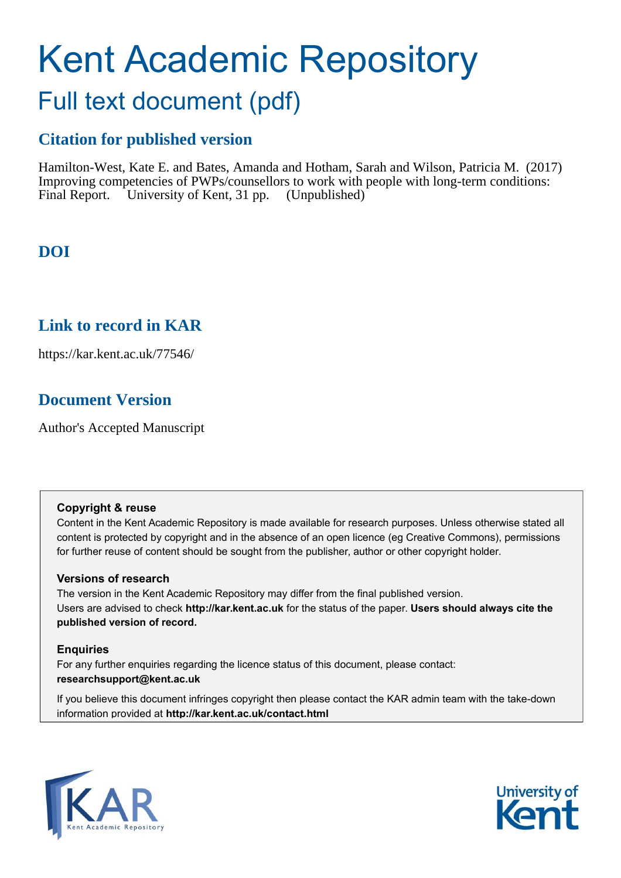# Kent Academic Repository

## Full text document (pdf)

## **Citation for published version**

Hamilton-West, Kate E. and Bates, Amanda and Hotham, Sarah and Wilson, Patricia M. (2017) Improving competencies of PWPs/counsellors to work with people with long-term conditions: Final Report. University of Kent, 31 pp. (Unpublished)

## **DOI**

## **Link to record in KAR**

https://kar.kent.ac.uk/77546/

## **Document Version**

Author's Accepted Manuscript

#### **Copyright & reuse**

Content in the Kent Academic Repository is made available for research purposes. Unless otherwise stated all content is protected by copyright and in the absence of an open licence (eg Creative Commons), permissions for further reuse of content should be sought from the publisher, author or other copyright holder.

#### **Versions of research**

The version in the Kent Academic Repository may differ from the final published version. Users are advised to check **http://kar.kent.ac.uk** for the status of the paper. **Users should always cite the published version of record.**

#### **Enquiries**

For any further enquiries regarding the licence status of this document, please contact: **researchsupport@kent.ac.uk**

If you believe this document infringes copyright then please contact the KAR admin team with the take-down information provided at **http://kar.kent.ac.uk/contact.html**



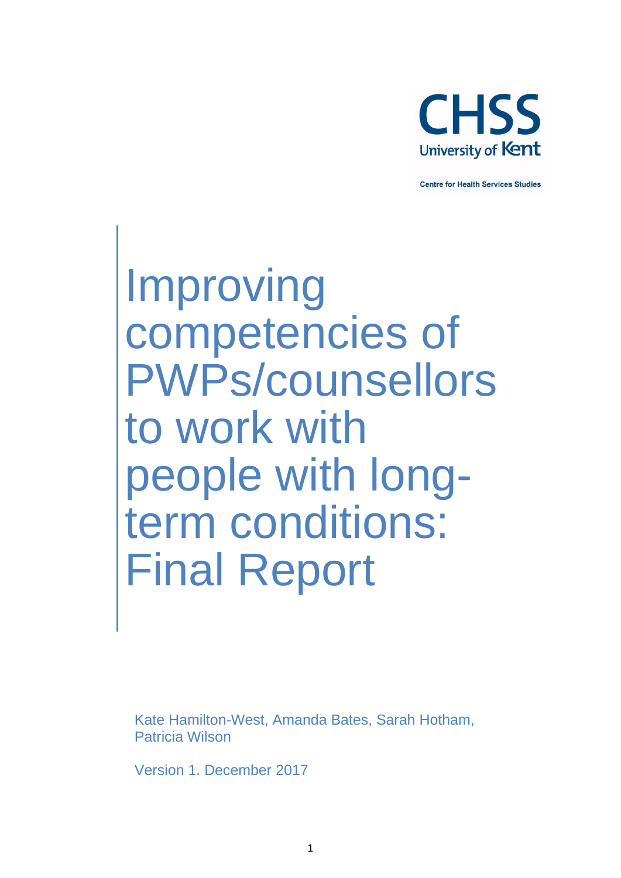

**Centre for Health Services Studies** 

Improving competencies of PWPs/counsellors to work with people with longterm conditions: Final Report

Kate Hamilton-West, Amanda Bates, Sarah Hotham, Patricia Wilson

Version 1. December 2017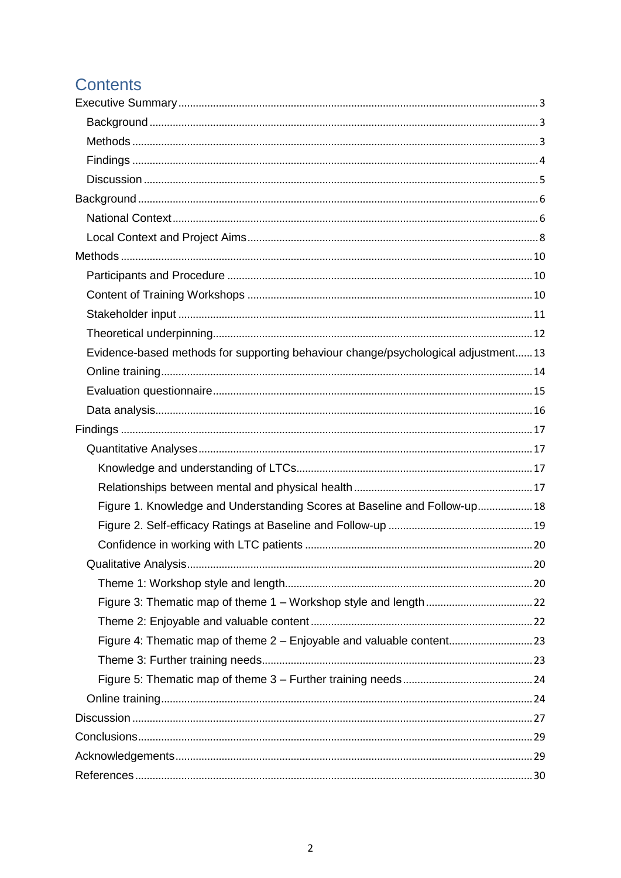## **Contents**

| Evidence-based methods for supporting behaviour change/psychological adjustment13 |  |
|-----------------------------------------------------------------------------------|--|
|                                                                                   |  |
|                                                                                   |  |
|                                                                                   |  |
|                                                                                   |  |
|                                                                                   |  |
|                                                                                   |  |
|                                                                                   |  |
| Figure 1. Knowledge and Understanding Scores at Baseline and Follow-up 18         |  |
|                                                                                   |  |
|                                                                                   |  |
|                                                                                   |  |
|                                                                                   |  |
|                                                                                   |  |
|                                                                                   |  |
|                                                                                   |  |
|                                                                                   |  |
|                                                                                   |  |
|                                                                                   |  |
|                                                                                   |  |
|                                                                                   |  |
|                                                                                   |  |
|                                                                                   |  |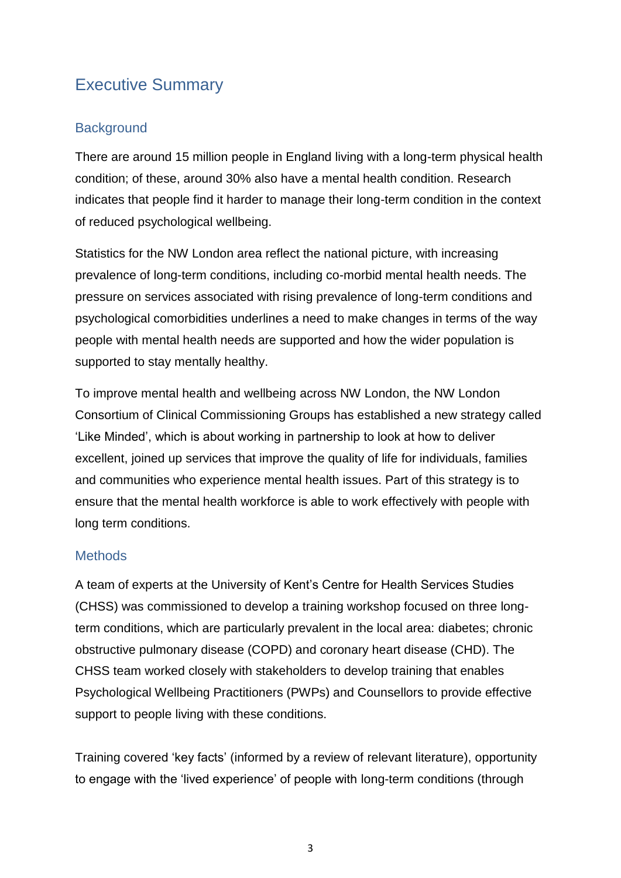## Executive Summary

#### **Background**

There are around 15 million people in England living with a long-term physical health condition; of these, around 30% also have a mental health condition. Research indicates that people find it harder to manage their long-term condition in the context of reduced psychological wellbeing.

Statistics for the NW London area reflect the national picture, with increasing prevalence of long-term conditions, including co-morbid mental health needs. The pressure on services associated with rising prevalence of long-term conditions and psychological comorbidities underlines a need to make changes in terms of the way people with mental health needs are supported and how the wider population is supported to stay mentally healthy.

To improve mental health and wellbeing across NW London, the NW London Consortium of Clinical Commissioning Groups has established a new strategy called 'Like Minded', which is about working in partnership to look at how to deliver excellent, joined up services that improve the quality of life for individuals, families and communities who experience mental health issues. Part of this strategy is to ensure that the mental health workforce is able to work effectively with people with long term conditions.

#### **Methods**

A team of experts at the University of Kent's Centre for Health Services Studies (CHSS) was commissioned to develop a training workshop focused on three longterm conditions, which are particularly prevalent in the local area: diabetes; chronic obstructive pulmonary disease (COPD) and coronary heart disease (CHD). The CHSS team worked closely with stakeholders to develop training that enables Psychological Wellbeing Practitioners (PWPs) and Counsellors to provide effective support to people living with these conditions.

Training covered 'key facts' (informed by a review of relevant literature), opportunity to engage with the 'lived experience' of people with long-term conditions (through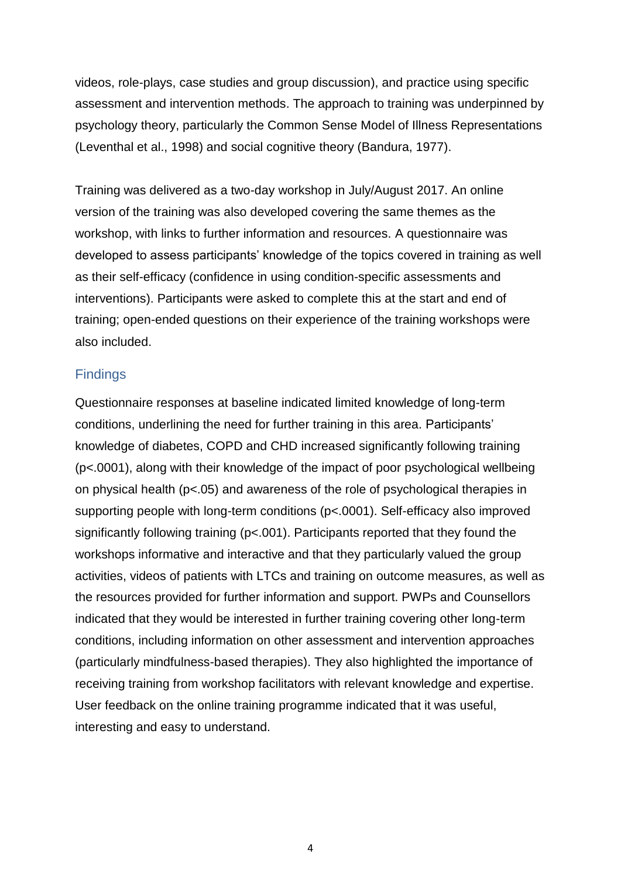videos, role-plays, case studies and group discussion), and practice using specific assessment and intervention methods. The approach to training was underpinned by psychology theory, particularly the Common Sense Model of Illness Representations (Leventhal et al., 1998) and social cognitive theory (Bandura, 1977).

Training was delivered as a two-day workshop in July/August 2017. An online version of the training was also developed covering the same themes as the workshop, with links to further information and resources. A questionnaire was developed to assess participants' knowledge of the topics covered in training as well as their self-efficacy (confidence in using condition-specific assessments and interventions). Participants were asked to complete this at the start and end of training; open-ended questions on their experience of the training workshops were also included.

#### **Findings**

Questionnaire responses at baseline indicated limited knowledge of long-term conditions, underlining the need for further training in this area. Participants' knowledge of diabetes, COPD and CHD increased significantly following training (p<.0001), along with their knowledge of the impact of poor psychological wellbeing on physical health (p<.05) and awareness of the role of psychological therapies in supporting people with long-term conditions (p<.0001). Self-efficacy also improved significantly following training (p<.001). Participants reported that they found the workshops informative and interactive and that they particularly valued the group activities, videos of patients with LTCs and training on outcome measures, as well as the resources provided for further information and support. PWPs and Counsellors indicated that they would be interested in further training covering other long-term conditions, including information on other assessment and intervention approaches (particularly mindfulness-based therapies). They also highlighted the importance of receiving training from workshop facilitators with relevant knowledge and expertise. User feedback on the online training programme indicated that it was useful, interesting and easy to understand.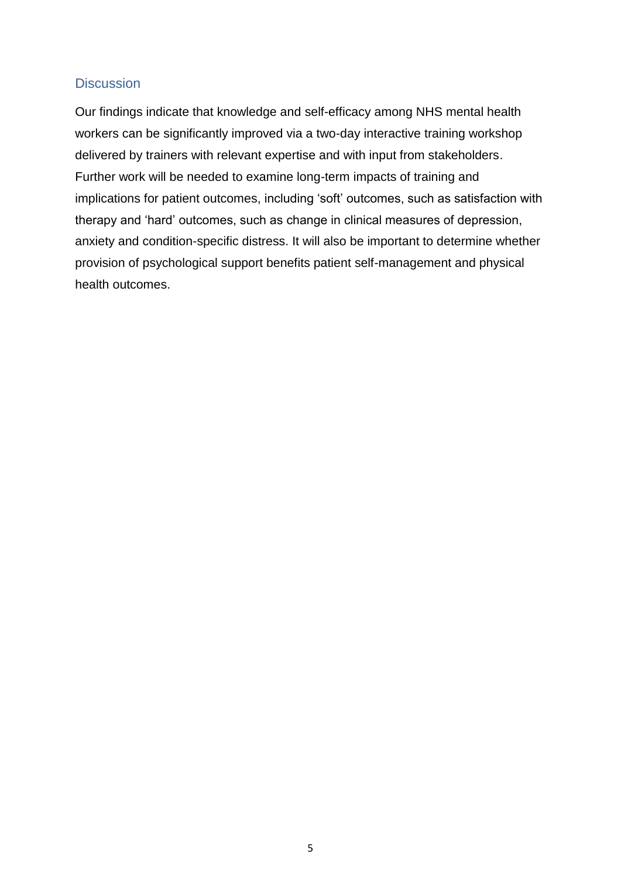#### **Discussion**

Our findings indicate that knowledge and self-efficacy among NHS mental health workers can be significantly improved via a two-day interactive training workshop delivered by trainers with relevant expertise and with input from stakeholders. Further work will be needed to examine long-term impacts of training and implications for patient outcomes, including 'soft' outcomes, such as satisfaction with therapy and 'hard' outcomes, such as change in clinical measures of depression, anxiety and condition-specific distress. It will also be important to determine whether provision of psychological support benefits patient self-management and physical health outcomes.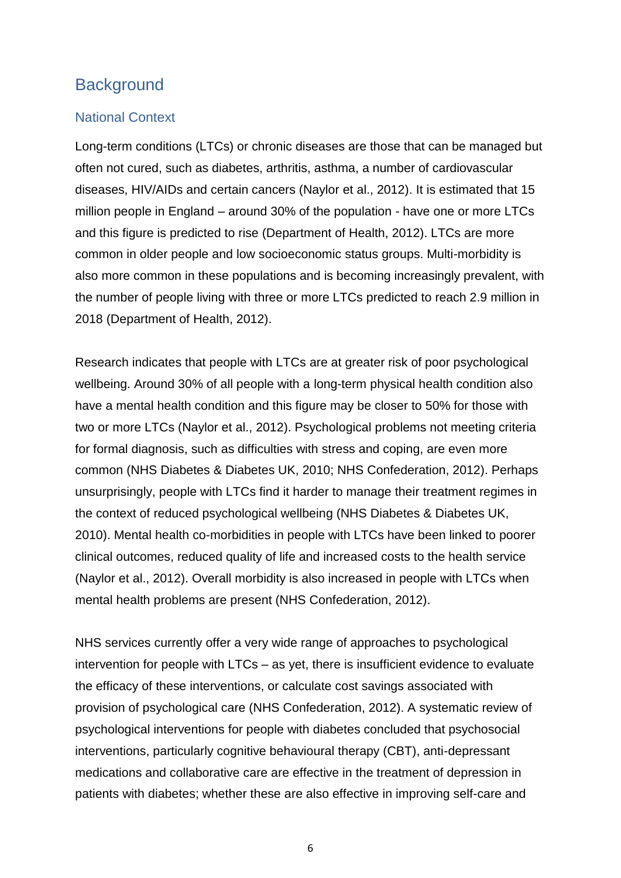## **Background**

#### National Context

Long-term conditions (LTCs) or chronic diseases are those that can be managed but often not cured, such as diabetes, arthritis, asthma, a number of cardiovascular diseases, HIV/AIDs and certain cancers (Naylor et al., 2012). It is estimated that 15 million people in England – around 30% of the population - have one or more LTCs and this figure is predicted to rise (Department of Health, 2012). LTCs are more common in older people and low socioeconomic status groups. Multi-morbidity is also more common in these populations and is becoming increasingly prevalent, with the number of people living with three or more LTCs predicted to reach 2.9 million in 2018 (Department of Health, 2012).

Research indicates that people with LTCs are at greater risk of poor psychological wellbeing. Around 30% of all people with a long-term physical health condition also have a mental health condition and this figure may be closer to 50% for those with two or more LTCs (Naylor et al., 2012). Psychological problems not meeting criteria for formal diagnosis, such as difficulties with stress and coping, are even more common (NHS Diabetes & Diabetes UK, 2010; NHS Confederation, 2012). Perhaps unsurprisingly, people with LTCs find it harder to manage their treatment regimes in the context of reduced psychological wellbeing (NHS Diabetes & Diabetes UK, 2010). Mental health co-morbidities in people with LTCs have been linked to poorer clinical outcomes, reduced quality of life and increased costs to the health service (Naylor et al., 2012). Overall morbidity is also increased in people with LTCs when mental health problems are present (NHS Confederation, 2012).

NHS services currently offer a very wide range of approaches to psychological intervention for people with LTCs – as yet, there is insufficient evidence to evaluate the efficacy of these interventions, or calculate cost savings associated with provision of psychological care (NHS Confederation, 2012). A systematic review of psychological interventions for people with diabetes concluded that psychosocial interventions, particularly cognitive behavioural therapy (CBT), anti-depressant medications and collaborative care are effective in the treatment of depression in patients with diabetes; whether these are also effective in improving self-care and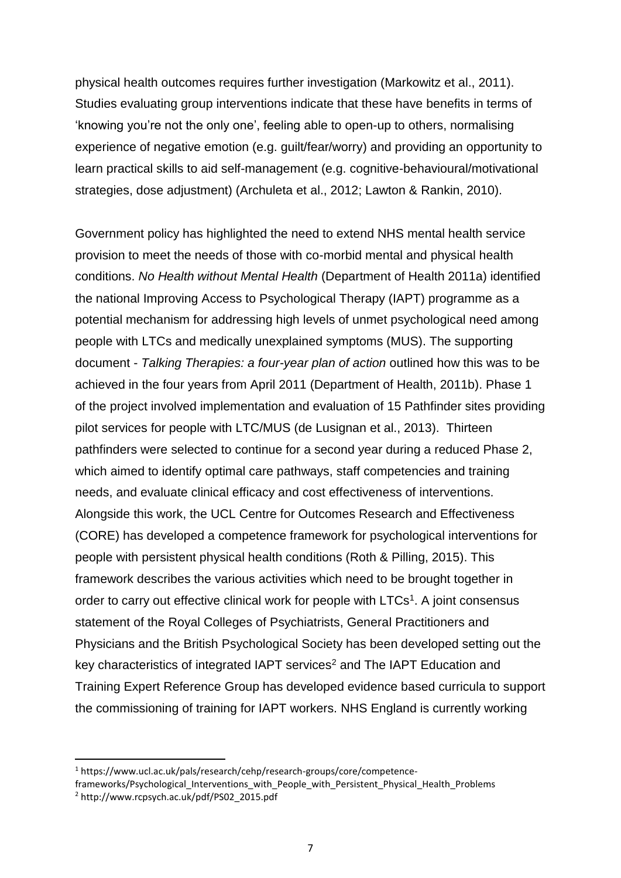physical health outcomes requires further investigation (Markowitz et al., 2011). Studies evaluating group interventions indicate that these have benefits in terms of 'knowing you're not the only one', feeling able to open-up to others, normalising experience of negative emotion (e.g. guilt/fear/worry) and providing an opportunity to learn practical skills to aid self-management (e.g. cognitive-behavioural/motivational strategies, dose adjustment) (Archuleta et al., 2012; Lawton & Rankin, 2010).

Government policy has highlighted the need to extend NHS mental health service provision to meet the needs of those with co-morbid mental and physical health conditions. *No Health without Mental Health* (Department of Health 2011a) identified the national Improving Access to Psychological Therapy (IAPT) programme as a potential mechanism for addressing high levels of unmet psychological need among people with LTCs and medically unexplained symptoms (MUS). The supporting document - *Talking Therapies: a four-year plan of action* outlined how this was to be achieved in the four years from April 2011 (Department of Health, 2011b). Phase 1 of the project involved implementation and evaluation of 15 Pathfinder sites providing pilot services for people with LTC/MUS (de Lusignan et al., 2013). Thirteen pathfinders were selected to continue for a second year during a reduced Phase 2, which aimed to identify optimal care pathways, staff competencies and training needs, and evaluate clinical efficacy and cost effectiveness of interventions. Alongside this work, the UCL Centre for Outcomes Research and Effectiveness (CORE) has developed a competence framework for psychological interventions for people with persistent physical health conditions (Roth & Pilling, 2015). This framework describes the various activities which need to be brought together in order to carry out effective clinical work for people with LTCs<sup>1</sup>. A joint consensus statement of the Royal Colleges of Psychiatrists, General Practitioners and Physicians and the British Psychological Society has been developed setting out the key characteristics of integrated IAPT services<sup>2</sup> and The IAPT Education and Training Expert Reference Group has developed evidence based curricula to support the commissioning of training for IAPT workers. NHS England is currently working

**.** 

<sup>1</sup> https://www.ucl.ac.uk/pals/research/cehp/research-groups/core/competence-

frameworks/Psychological Interventions with People with Persistent Physical Health Problems

<sup>2</sup> http://www.rcpsych.ac.uk/pdf/PS02\_2015.pdf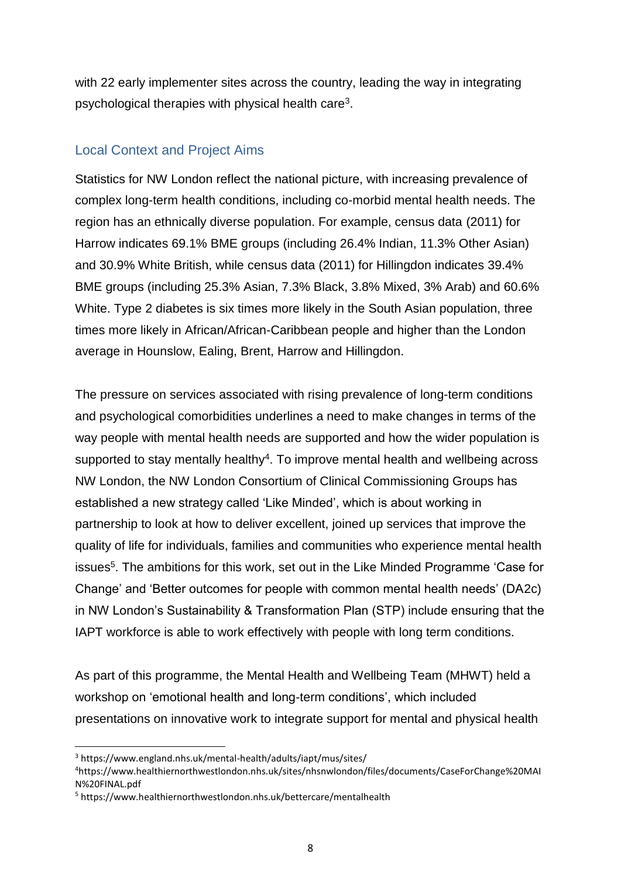with 22 early implementer sites across the country, leading the way in integrating psychological therapies with physical health care<sup>3</sup>.

#### Local Context and Project Aims

Statistics for NW London reflect the national picture, with increasing prevalence of complex long-term health conditions, including co-morbid mental health needs. The region has an ethnically diverse population. For example, census data (2011) for Harrow indicates 69.1% BME groups (including 26.4% Indian, 11.3% Other Asian) and 30.9% White British, while census data (2011) for Hillingdon indicates 39.4% BME groups (including 25.3% Asian, 7.3% Black, 3.8% Mixed, 3% Arab) and 60.6% White. Type 2 diabetes is six times more likely in the South Asian population, three times more likely in African/African-Caribbean people and higher than the London average in Hounslow, Ealing, Brent, Harrow and Hillingdon.

The pressure on services associated with rising prevalence of long-term conditions and psychological comorbidities underlines a need to make changes in terms of the way people with mental health needs are supported and how the wider population is supported to stay mentally healthy<sup>4</sup>. To improve mental health and wellbeing across NW London, the NW London Consortium of Clinical Commissioning Groups has established a new strategy called 'Like Minded', which is about working in partnership to look at how to deliver excellent, joined up services that improve the quality of life for individuals, families and communities who experience mental health issues<sup>5</sup>. The ambitions for this work, set out in the Like Minded Programme 'Case for Change' and 'Better outcomes for people with common mental health needs' (DA2c) in NW London's Sustainability & Transformation Plan (STP) include ensuring that the IAPT workforce is able to work effectively with people with long term conditions.

As part of this programme, the Mental Health and Wellbeing Team (MHWT) held a workshop on 'emotional health and long-term conditions', which included presentations on innovative work to integrate support for mental and physical health

<sup>3</sup> https://www.england.nhs.uk/mental-health/adults/iapt/mus/sites/

<sup>4</sup>https://www.healthiernorthwestlondon.nhs.uk/sites/nhsnwlondon/files/documents/CaseForChange%20MAI N%20FINAL.pdf

<sup>5</sup> https://www.healthiernorthwestlondon.nhs.uk/bettercare/mentalhealth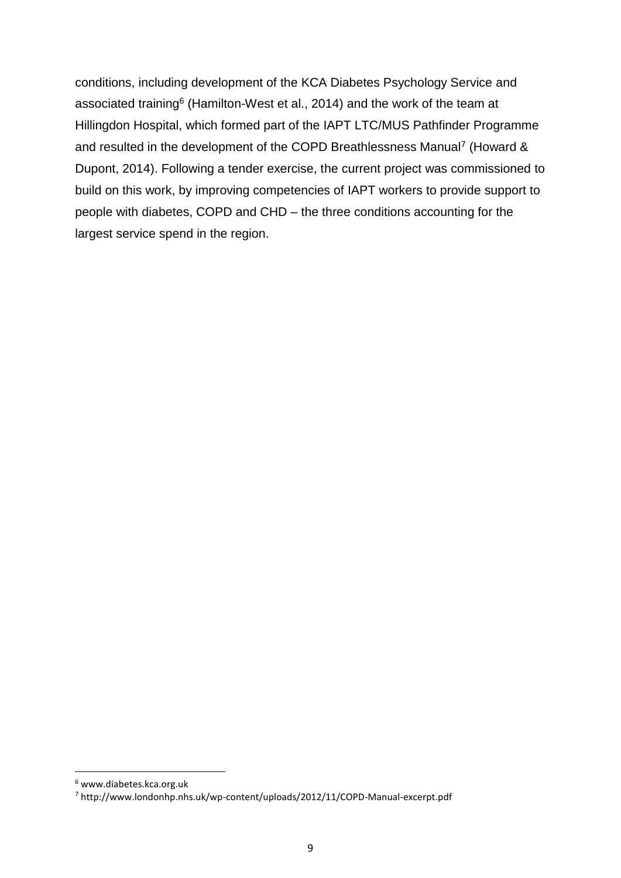conditions, including development of the KCA Diabetes Psychology Service and associated training<sup>6</sup> (Hamilton-West et al., 2014) and the work of the team at Hillingdon Hospital, which formed part of the IAPT LTC/MUS Pathfinder Programme and resulted in the development of the COPD Breathlessness Manual<sup>7</sup> (Howard & Dupont, 2014). Following a tender exercise, the current project was commissioned to build on this work, by improving competencies of IAPT workers to provide support to people with diabetes, COPD and CHD – the three conditions accounting for the largest service spend in the region.

<sup>6</sup> www.diabetes.kca.org.uk

<sup>7</sup> http://www.londonhp.nhs.uk/wp-content/uploads/2012/11/COPD-Manual-excerpt.pdf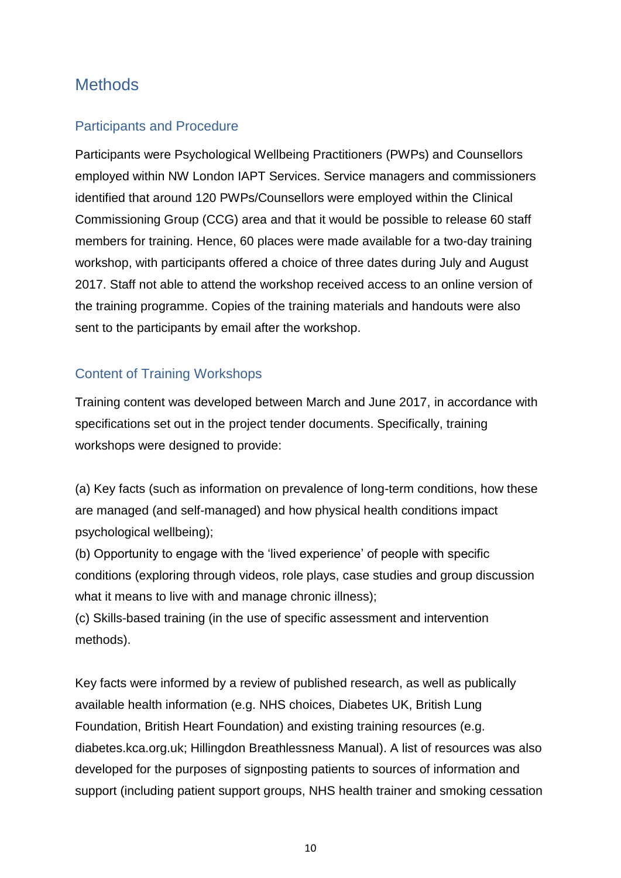## **Methods**

#### Participants and Procedure

Participants were Psychological Wellbeing Practitioners (PWPs) and Counsellors employed within NW London IAPT Services. Service managers and commissioners identified that around 120 PWPs/Counsellors were employed within the Clinical Commissioning Group (CCG) area and that it would be possible to release 60 staff members for training. Hence, 60 places were made available for a two-day training workshop, with participants offered a choice of three dates during July and August 2017. Staff not able to attend the workshop received access to an online version of the training programme. Copies of the training materials and handouts were also sent to the participants by email after the workshop.

#### Content of Training Workshops

Training content was developed between March and June 2017, in accordance with specifications set out in the project tender documents. Specifically, training workshops were designed to provide:

(a) Key facts (such as information on prevalence of long-term conditions, how these are managed (and self-managed) and how physical health conditions impact psychological wellbeing);

(b) Opportunity to engage with the 'lived experience' of people with specific conditions (exploring through videos, role plays, case studies and group discussion what it means to live with and manage chronic illness);

(c) Skills-based training (in the use of specific assessment and intervention methods).

Key facts were informed by a review of published research, as well as publically available health information (e.g. NHS choices, Diabetes UK, British Lung Foundation, British Heart Foundation) and existing training resources (e.g. diabetes.kca.org.uk; Hillingdon Breathlessness Manual). A list of resources was also developed for the purposes of signposting patients to sources of information and support (including patient support groups, NHS health trainer and smoking cessation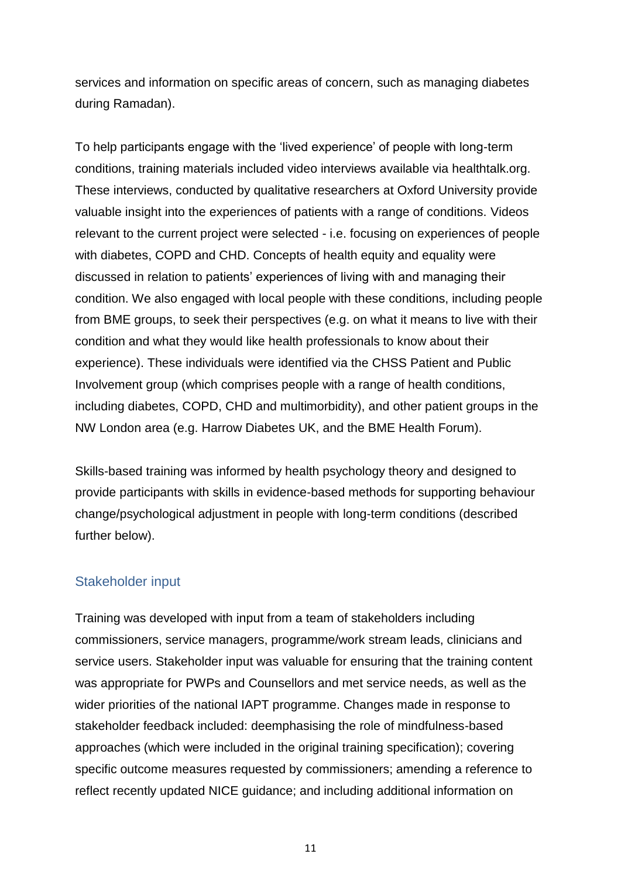services and information on specific areas of concern, such as managing diabetes during Ramadan).

To help participants engage with the 'lived experience' of people with long-term conditions, training materials included video interviews available via healthtalk.org. These interviews, conducted by qualitative researchers at Oxford University provide valuable insight into the experiences of patients with a range of conditions. Videos relevant to the current project were selected - i.e. focusing on experiences of people with diabetes, COPD and CHD. Concepts of health equity and equality were discussed in relation to patients' experiences of living with and managing their condition. We also engaged with local people with these conditions, including people from BME groups, to seek their perspectives (e.g. on what it means to live with their condition and what they would like health professionals to know about their experience). These individuals were identified via the CHSS Patient and Public Involvement group (which comprises people with a range of health conditions, including diabetes, COPD, CHD and multimorbidity), and other patient groups in the NW London area (e.g. Harrow Diabetes UK, and the BME Health Forum).

Skills-based training was informed by health psychology theory and designed to provide participants with skills in evidence-based methods for supporting behaviour change/psychological adjustment in people with long-term conditions (described further below).

#### Stakeholder input

Training was developed with input from a team of stakeholders including commissioners, service managers, programme/work stream leads, clinicians and service users. Stakeholder input was valuable for ensuring that the training content was appropriate for PWPs and Counsellors and met service needs, as well as the wider priorities of the national IAPT programme. Changes made in response to stakeholder feedback included: deemphasising the role of mindfulness-based approaches (which were included in the original training specification); covering specific outcome measures requested by commissioners; amending a reference to reflect recently updated NICE guidance; and including additional information on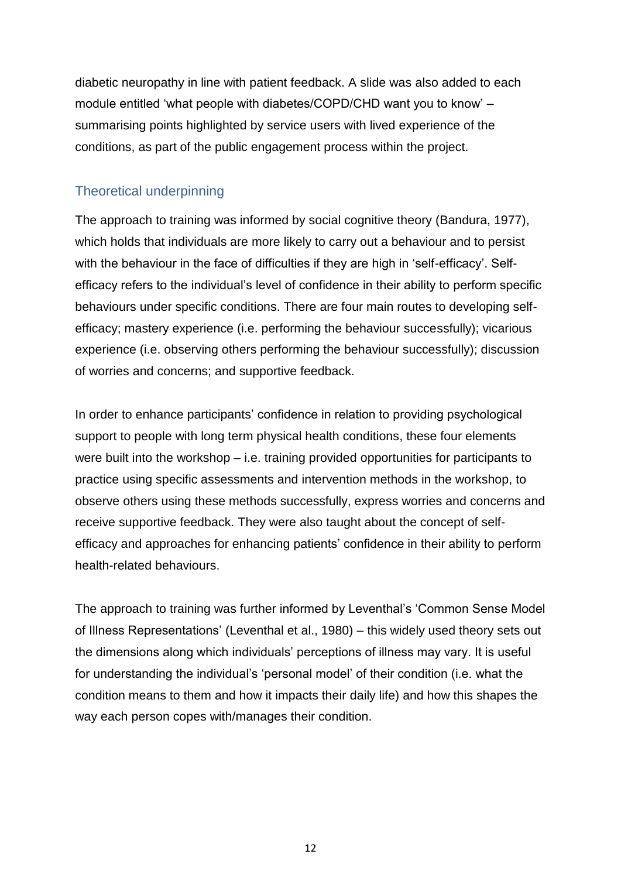diabetic neuropathy in line with patient feedback. A slide was also added to each module entitled 'what people with diabetes/COPD/CHD want you to know' – summarising points highlighted by service users with lived experience of the conditions, as part of the public engagement process within the project.

#### Theoretical underpinning

The approach to training was informed by social cognitive theory (Bandura, 1977), which holds that individuals are more likely to carry out a behaviour and to persist with the behaviour in the face of difficulties if they are high in 'self-efficacy'. Selfefficacy refers to the individual's level of confidence in their ability to perform specific behaviours under specific conditions. There are four main routes to developing selfefficacy; mastery experience (i.e. performing the behaviour successfully); vicarious experience (i.e. observing others performing the behaviour successfully); discussion of worries and concerns; and supportive feedback.

In order to enhance participants' confidence in relation to providing psychological support to people with long term physical health conditions, these four elements were built into the workshop – i.e. training provided opportunities for participants to practice using specific assessments and intervention methods in the workshop, to observe others using these methods successfully, express worries and concerns and receive supportive feedback. They were also taught about the concept of selfefficacy and approaches for enhancing patients' confidence in their ability to perform health-related behaviours.

The approach to training was further informed by Leventhal's 'Common Sense Model of Illness Representations' (Leventhal et al., 1980) – this widely used theory sets out the dimensions along which individuals' perceptions of illness may vary. It is useful for understanding the individual's 'personal model' of their condition (i.e. what the condition means to them and how it impacts their daily life) and how this shapes the way each person copes with/manages their condition.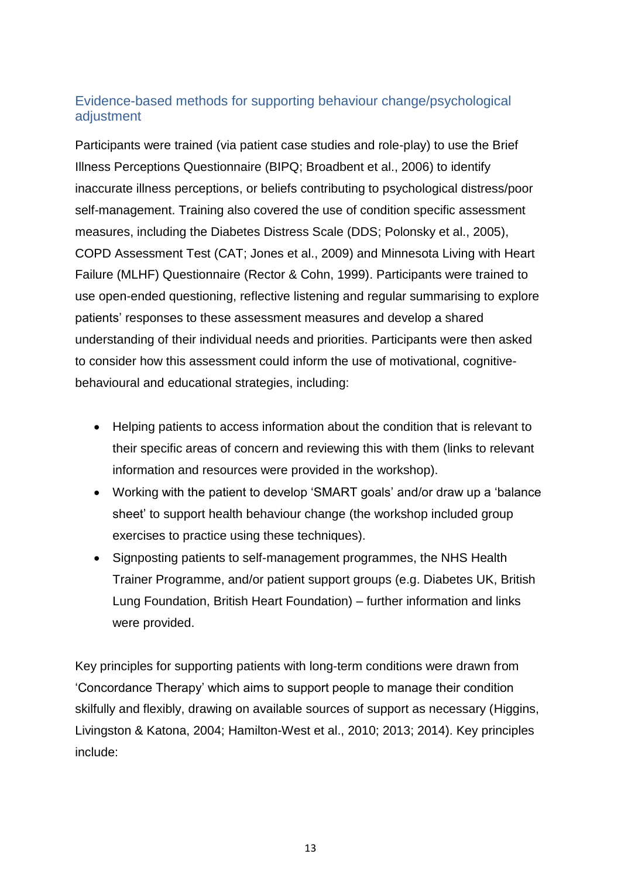#### Evidence-based methods for supporting behaviour change/psychological adjustment

Participants were trained (via patient case studies and role-play) to use the Brief Illness Perceptions Questionnaire (BIPQ; Broadbent et al., 2006) to identify inaccurate illness perceptions, or beliefs contributing to psychological distress/poor self-management. Training also covered the use of condition specific assessment measures, including the Diabetes Distress Scale (DDS; Polonsky et al., 2005), COPD Assessment Test (CAT; Jones et al., 2009) and Minnesota Living with Heart Failure (MLHF) Questionnaire (Rector & Cohn, 1999). Participants were trained to use open-ended questioning, reflective listening and regular summarising to explore patients' responses to these assessment measures and develop a shared understanding of their individual needs and priorities. Participants were then asked to consider how this assessment could inform the use of motivational, cognitivebehavioural and educational strategies, including:

- Helping patients to access information about the condition that is relevant to their specific areas of concern and reviewing this with them (links to relevant information and resources were provided in the workshop).
- Working with the patient to develop 'SMART goals' and/or draw up a 'balance sheet' to support health behaviour change (the workshop included group exercises to practice using these techniques).
- Signposting patients to self-management programmes, the NHS Health Trainer Programme, and/or patient support groups (e.g. Diabetes UK, British Lung Foundation, British Heart Foundation) – further information and links were provided.

Key principles for supporting patients with long-term conditions were drawn from 'Concordance Therapy' which aims to support people to manage their condition skilfully and flexibly, drawing on available sources of support as necessary (Higgins, Livingston & Katona, 2004; Hamilton-West et al., 2010; 2013; 2014). Key principles include: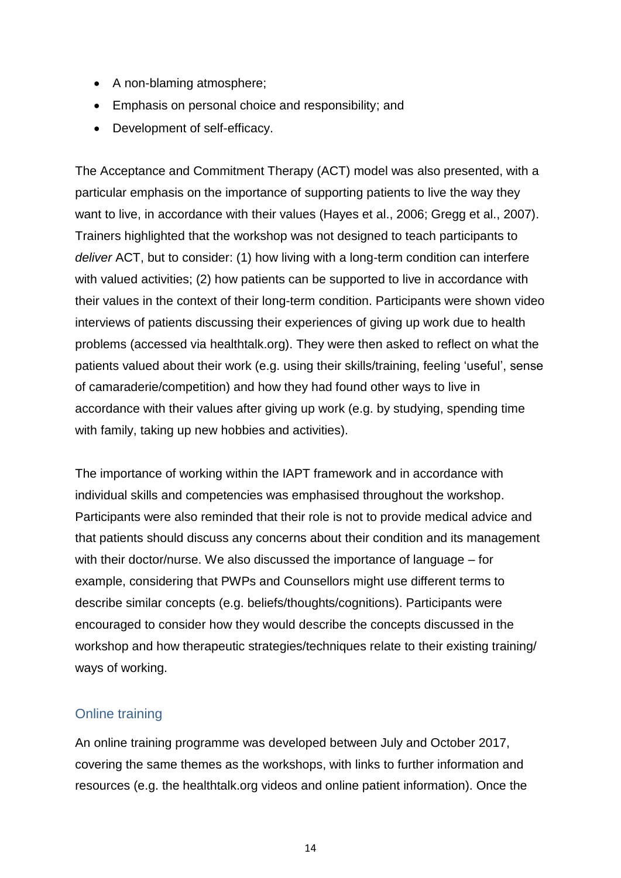- A non-blaming atmosphere;
- Emphasis on personal choice and responsibility; and
- Development of self-efficacy.

The Acceptance and Commitment Therapy (ACT) model was also presented, with a particular emphasis on the importance of supporting patients to live the way they want to live, in accordance with their values (Hayes et al., 2006; Gregg et al., 2007). Trainers highlighted that the workshop was not designed to teach participants to *deliver* ACT, but to consider: (1) how living with a long-term condition can interfere with valued activities; (2) how patients can be supported to live in accordance with their values in the context of their long-term condition. Participants were shown video interviews of patients discussing their experiences of giving up work due to health problems (accessed via healthtalk.org). They were then asked to reflect on what the patients valued about their work (e.g. using their skills/training, feeling 'useful', sense of camaraderie/competition) and how they had found other ways to live in accordance with their values after giving up work (e.g. by studying, spending time with family, taking up new hobbies and activities).

The importance of working within the IAPT framework and in accordance with individual skills and competencies was emphasised throughout the workshop. Participants were also reminded that their role is not to provide medical advice and that patients should discuss any concerns about their condition and its management with their doctor/nurse. We also discussed the importance of language – for example, considering that PWPs and Counsellors might use different terms to describe similar concepts (e.g. beliefs/thoughts/cognitions). Participants were encouraged to consider how they would describe the concepts discussed in the workshop and how therapeutic strategies/techniques relate to their existing training/ ways of working.

#### Online training

An online training programme was developed between July and October 2017, covering the same themes as the workshops, with links to further information and resources (e.g. the healthtalk.org videos and online patient information). Once the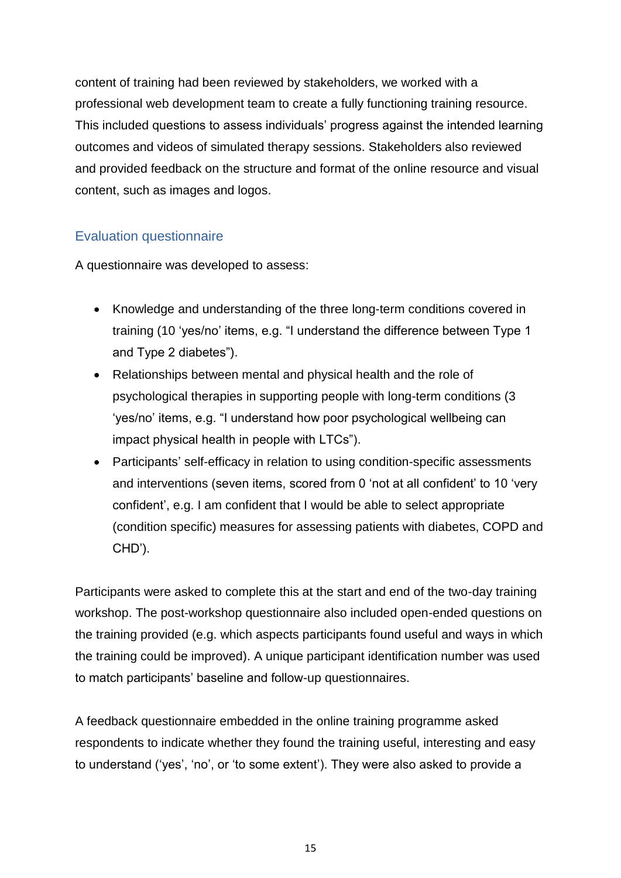content of training had been reviewed by stakeholders, we worked with a professional web development team to create a fully functioning training resource. This included questions to assess individuals' progress against the intended learning outcomes and videos of simulated therapy sessions. Stakeholders also reviewed and provided feedback on the structure and format of the online resource and visual content, such as images and logos.

#### Evaluation questionnaire

A questionnaire was developed to assess:

- Knowledge and understanding of the three long-term conditions covered in training (10 'yes/no' items, e.g. "I understand the difference between Type 1 and Type 2 diabetes").
- Relationships between mental and physical health and the role of psychological therapies in supporting people with long-term conditions (3 'yes/no' items, e.g. "I understand how poor psychological wellbeing can impact physical health in people with LTCs").
- Participants' self-efficacy in relation to using condition-specific assessments and interventions (seven items, scored from 0 'not at all confident' to 10 'very confident', e.g. I am confident that I would be able to select appropriate (condition specific) measures for assessing patients with diabetes, COPD and CHD').

Participants were asked to complete this at the start and end of the two-day training workshop. The post-workshop questionnaire also included open-ended questions on the training provided (e.g. which aspects participants found useful and ways in which the training could be improved). A unique participant identification number was used to match participants' baseline and follow-up questionnaires.

A feedback questionnaire embedded in the online training programme asked respondents to indicate whether they found the training useful, interesting and easy to understand ('yes', 'no', or 'to some extent'). They were also asked to provide a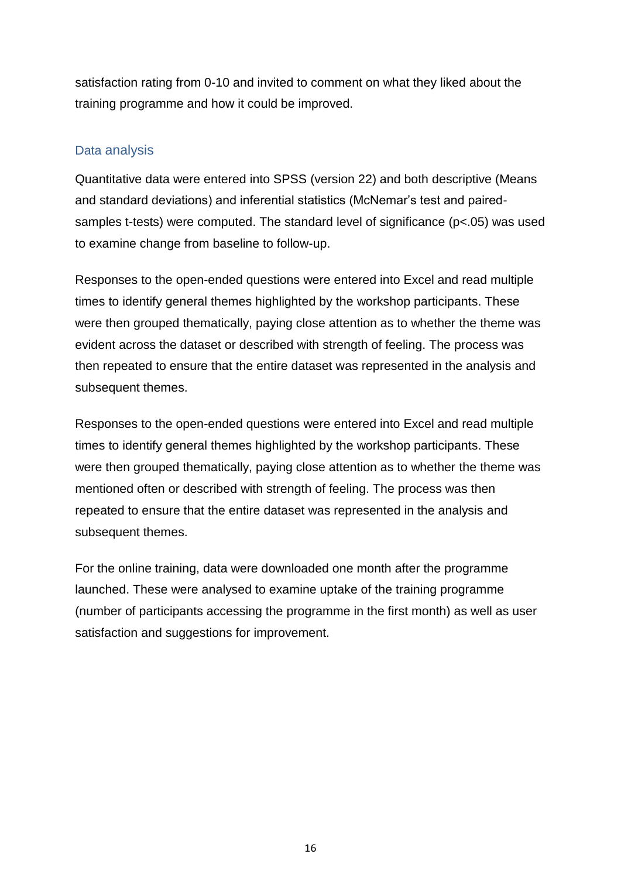satisfaction rating from 0-10 and invited to comment on what they liked about the training programme and how it could be improved.

#### Data analysis

Quantitative data were entered into SPSS (version 22) and both descriptive (Means and standard deviations) and inferential statistics (McNemar's test and pairedsamples t-tests) were computed. The standard level of significance (p<.05) was used to examine change from baseline to follow-up.

Responses to the open-ended questions were entered into Excel and read multiple times to identify general themes highlighted by the workshop participants. These were then grouped thematically, paying close attention as to whether the theme was evident across the dataset or described with strength of feeling. The process was then repeated to ensure that the entire dataset was represented in the analysis and subsequent themes.

Responses to the open-ended questions were entered into Excel and read multiple times to identify general themes highlighted by the workshop participants. These were then grouped thematically, paying close attention as to whether the theme was mentioned often or described with strength of feeling. The process was then repeated to ensure that the entire dataset was represented in the analysis and subsequent themes.

For the online training, data were downloaded one month after the programme launched. These were analysed to examine uptake of the training programme (number of participants accessing the programme in the first month) as well as user satisfaction and suggestions for improvement.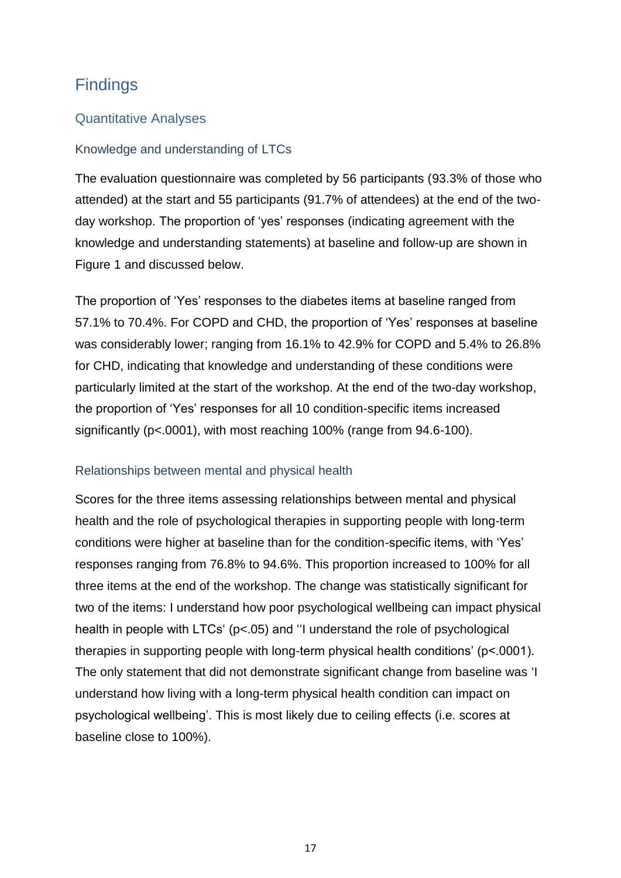## **Findings**

#### Quantitative Analyses

#### Knowledge and understanding of LTCs

The evaluation questionnaire was completed by 56 participants (93.3% of those who attended) at the start and 55 participants (91.7% of attendees) at the end of the twoday workshop. The proportion of 'yes' responses (indicating agreement with the knowledge and understanding statements) at baseline and follow-up are shown in Figure 1 and discussed below.

The proportion of 'Yes' responses to the diabetes items at baseline ranged from 57.1% to 70.4%. For COPD and CHD, the proportion of 'Yes' responses at baseline was considerably lower; ranging from 16.1% to 42.9% for COPD and 5.4% to 26.8% for CHD, indicating that knowledge and understanding of these conditions were particularly limited at the start of the workshop. At the end of the two-day workshop, the proportion of 'Yes' responses for all 10 condition-specific items increased significantly (p<.0001), with most reaching 100% (range from 94.6-100).

#### Relationships between mental and physical health

Scores for the three items assessing relationships between mental and physical health and the role of psychological therapies in supporting people with long-term conditions were higher at baseline than for the condition-specific items, with 'Yes' responses ranging from 76.8% to 94.6%. This proportion increased to 100% for all three items at the end of the workshop. The change was statistically significant for two of the items: I understand how poor psychological wellbeing can impact physical health in people with LTCs' (p<.05) and ''I understand the role of psychological therapies in supporting people with long-term physical health conditions' (p<.0001). The only statement that did not demonstrate significant change from baseline was 'I understand how living with a long-term physical health condition can impact on psychological wellbeing'. This is most likely due to ceiling effects (i.e. scores at baseline close to 100%).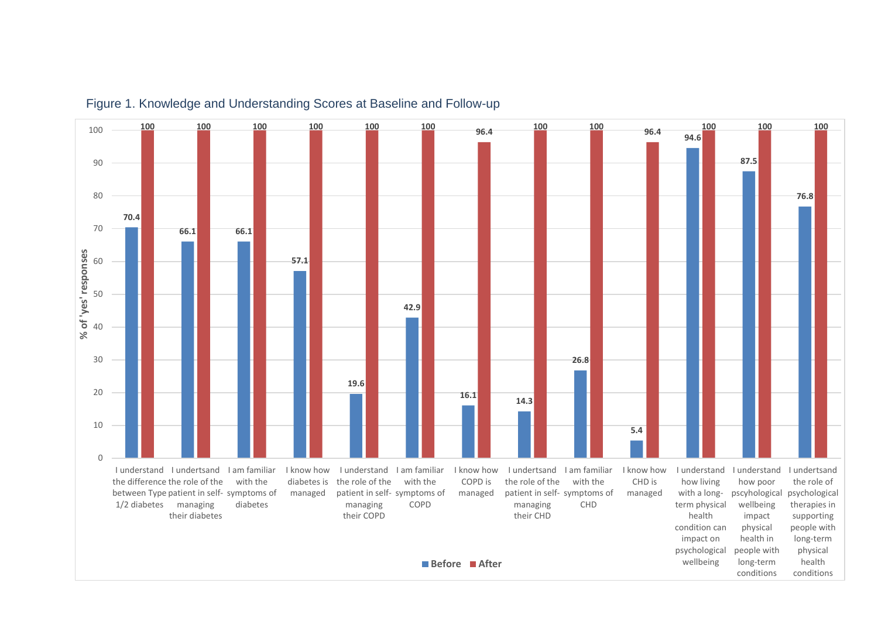

#### Figure 1. Knowledge and Understanding Scores at Baseline and Follow-up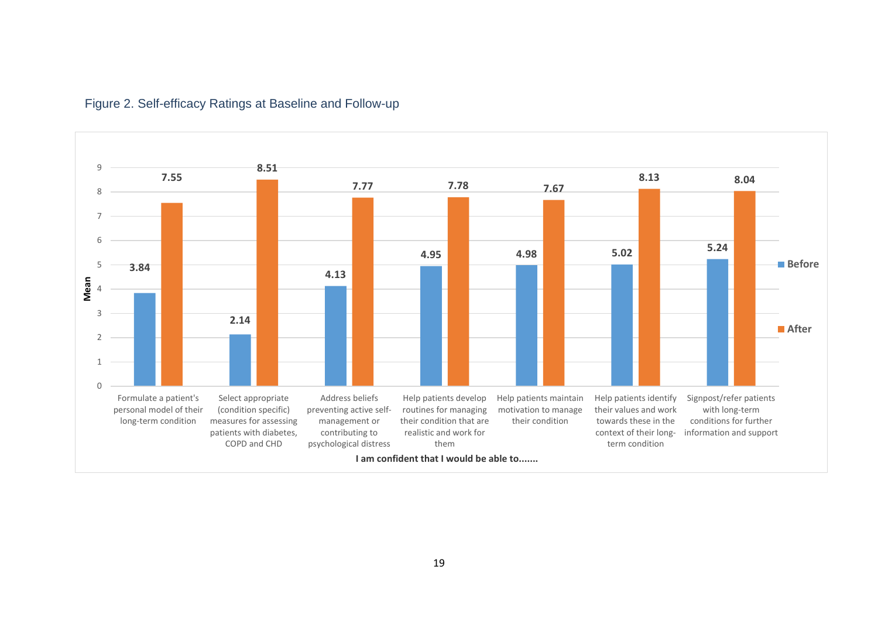

#### Figure 2. Self-efficacy Ratings at Baseline and Follow-up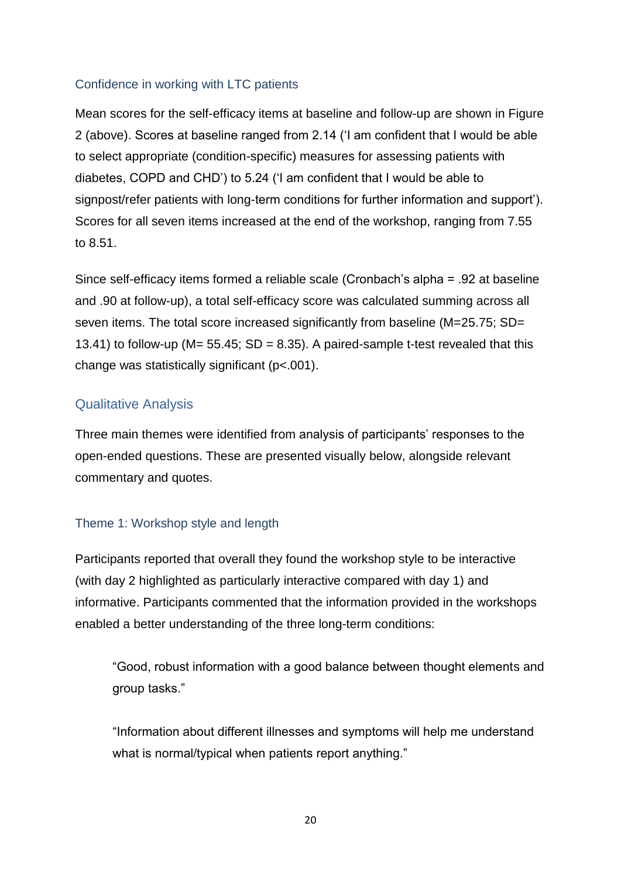#### Confidence in working with LTC patients

Mean scores for the self-efficacy items at baseline and follow-up are shown in Figure 2 (above). Scores at baseline ranged from 2.14 ('I am confident that I would be able to select appropriate (condition-specific) measures for assessing patients with diabetes, COPD and CHD') to 5.24 ('I am confident that I would be able to signpost/refer patients with long-term conditions for further information and support'). Scores for all seven items increased at the end of the workshop, ranging from 7.55 to 8.51.

Since self-efficacy items formed a reliable scale (Cronbach's alpha = .92 at baseline and .90 at follow-up), a total self-efficacy score was calculated summing across all seven items. The total score increased significantly from baseline (M=25.75; SD= 13.41) to follow-up ( $M = 55.45$ ;  $SD = 8.35$ ). A paired-sample t-test revealed that this change was statistically significant (p<.001).

#### Qualitative Analysis

Three main themes were identified from analysis of participants' responses to the open-ended questions. These are presented visually below, alongside relevant commentary and quotes.

#### Theme 1: Workshop style and length

Participants reported that overall they found the workshop style to be interactive (with day 2 highlighted as particularly interactive compared with day 1) and informative. Participants commented that the information provided in the workshops enabled a better understanding of the three long-term conditions:

"Good, robust information with a good balance between thought elements and group tasks."

"Information about different illnesses and symptoms will help me understand what is normal/typical when patients report anything."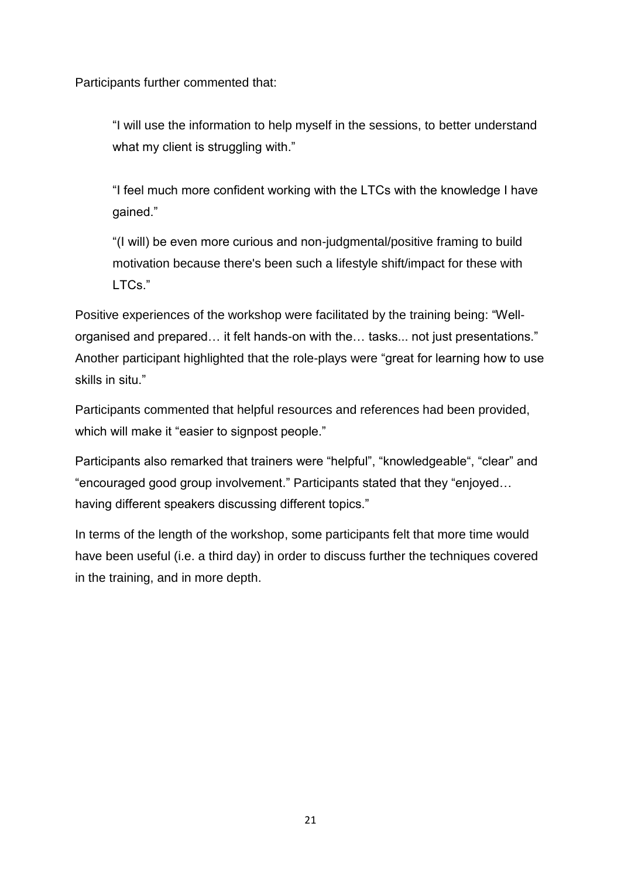Participants further commented that:

"I will use the information to help myself in the sessions, to better understand what my client is struggling with."

"I feel much more confident working with the LTCs with the knowledge I have gained."

"(I will) be even more curious and non-judgmental/positive framing to build motivation because there's been such a lifestyle shift/impact for these with LTCs."

Positive experiences of the workshop were facilitated by the training being: "Wellorganised and prepared… it felt hands-on with the… tasks... not just presentations." Another participant highlighted that the role-plays were "great for learning how to use skills in situ."

Participants commented that helpful resources and references had been provided, which will make it "easier to signpost people."

Participants also remarked that trainers were "helpful", "knowledgeable", "clear" and "encouraged good group involvement." Participants stated that they "enjoyed… having different speakers discussing different topics."

In terms of the length of the workshop, some participants felt that more time would have been useful (i.e. a third day) in order to discuss further the techniques covered in the training, and in more depth.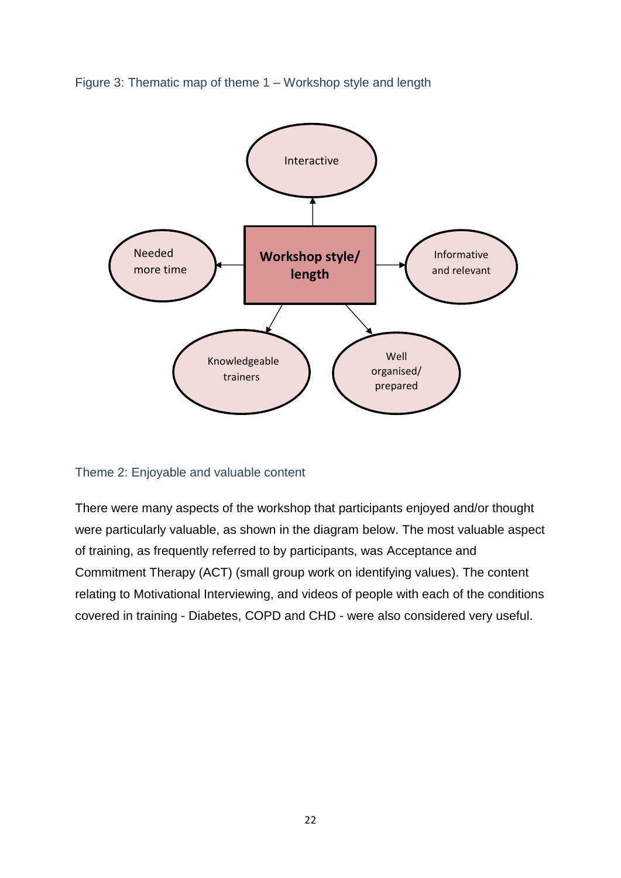Figure 3: Thematic map of theme 1 – Workshop style and length



#### Theme 2: Enjoyable and valuable content

There were many aspects of the workshop that participants enjoyed and/or thought were particularly valuable, as shown in the diagram below. The most valuable aspect of training, as frequently referred to by participants, was Acceptance and Commitment Therapy (ACT) (small group work on identifying values). The content relating to Motivational Interviewing, and videos of people with each of the conditions covered in training - Diabetes, COPD and CHD - were also considered very useful.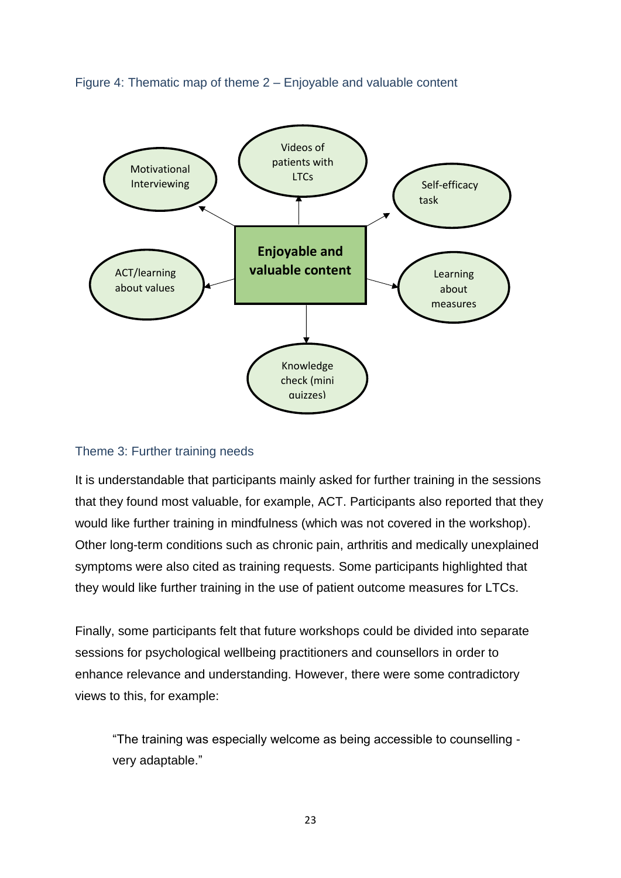



#### Theme 3: Further training needs

It is understandable that participants mainly asked for further training in the sessions that they found most valuable, for example, ACT. Participants also reported that they would like further training in mindfulness (which was not covered in the workshop). Other long-term conditions such as chronic pain, arthritis and medically unexplained symptoms were also cited as training requests. Some participants highlighted that they would like further training in the use of patient outcome measures for LTCs.

Finally, some participants felt that future workshops could be divided into separate sessions for psychological wellbeing practitioners and counsellors in order to enhance relevance and understanding. However, there were some contradictory views to this, for example:

"The training was especially welcome as being accessible to counselling very adaptable."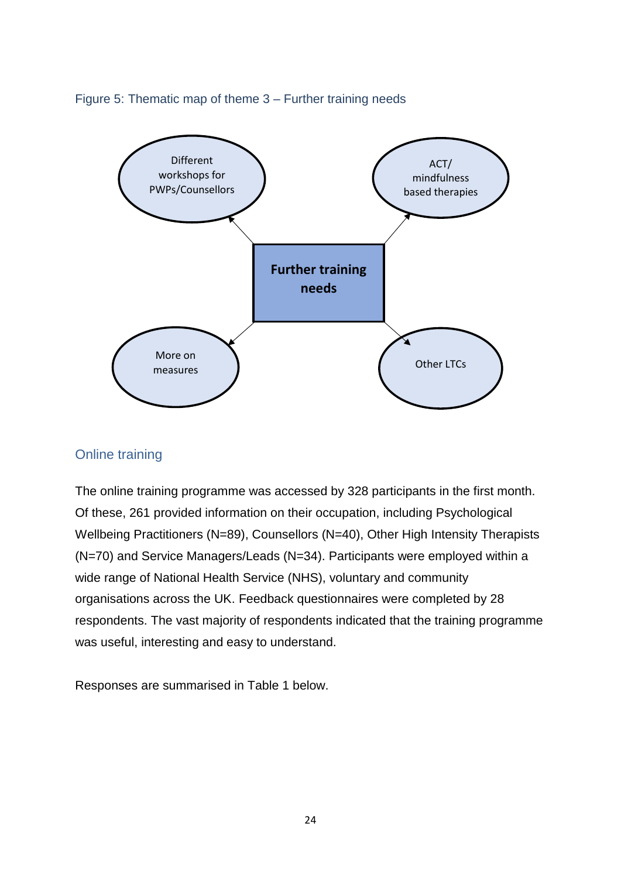



#### Online training

The online training programme was accessed by 328 participants in the first month. Of these, 261 provided information on their occupation, including Psychological Wellbeing Practitioners (N=89), Counsellors (N=40), Other High Intensity Therapists (N=70) and Service Managers/Leads (N=34). Participants were employed within a wide range of National Health Service (NHS), voluntary and community organisations across the UK. Feedback questionnaires were completed by 28 respondents. The vast majority of respondents indicated that the training programme was useful, interesting and easy to understand.

Responses are summarised in Table 1 below.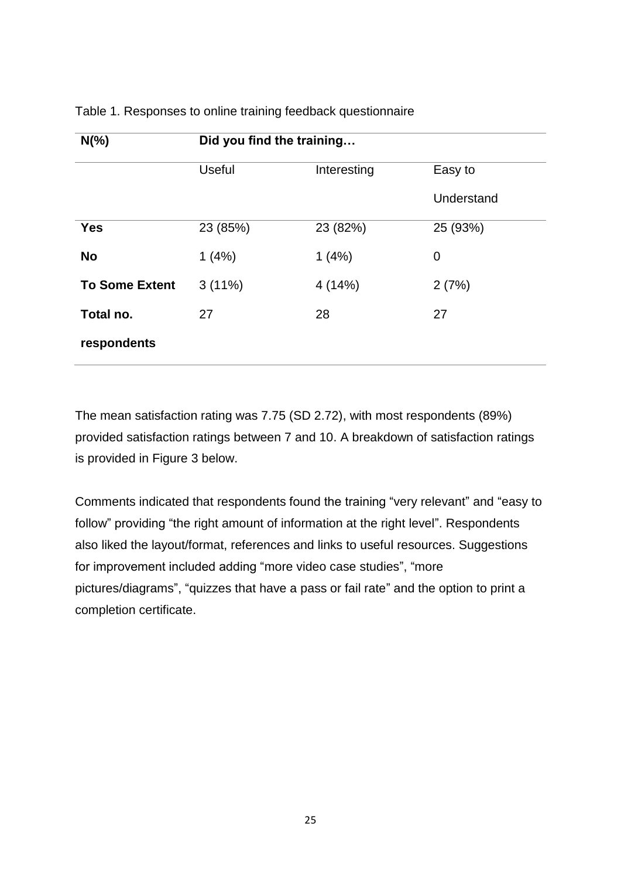| $N(\%)$               | Did you find the training |             |            |  |
|-----------------------|---------------------------|-------------|------------|--|
|                       | <b>Useful</b>             | Interesting | Easy to    |  |
|                       |                           |             | Understand |  |
| <b>Yes</b>            | 23 (85%)                  | 23 (82%)    | 25 (93%)   |  |
| <b>No</b>             | 1(4%)                     | 1(4%)       | 0          |  |
| <b>To Some Extent</b> | $3(11\%)$                 | 4(14%)      | 2(7%)      |  |
| Total no.             | 27                        | 28          | 27         |  |
| respondents           |                           |             |            |  |

#### Table 1. Responses to online training feedback questionnaire

The mean satisfaction rating was 7.75 (SD 2.72), with most respondents (89%) provided satisfaction ratings between 7 and 10. A breakdown of satisfaction ratings is provided in Figure 3 below.

Comments indicated that respondents found the training "very relevant" and "easy to follow" providing "the right amount of information at the right level". Respondents also liked the layout/format, references and links to useful resources. Suggestions for improvement included adding "more video case studies", "more pictures/diagrams", "quizzes that have a pass or fail rate" and the option to print a completion certificate.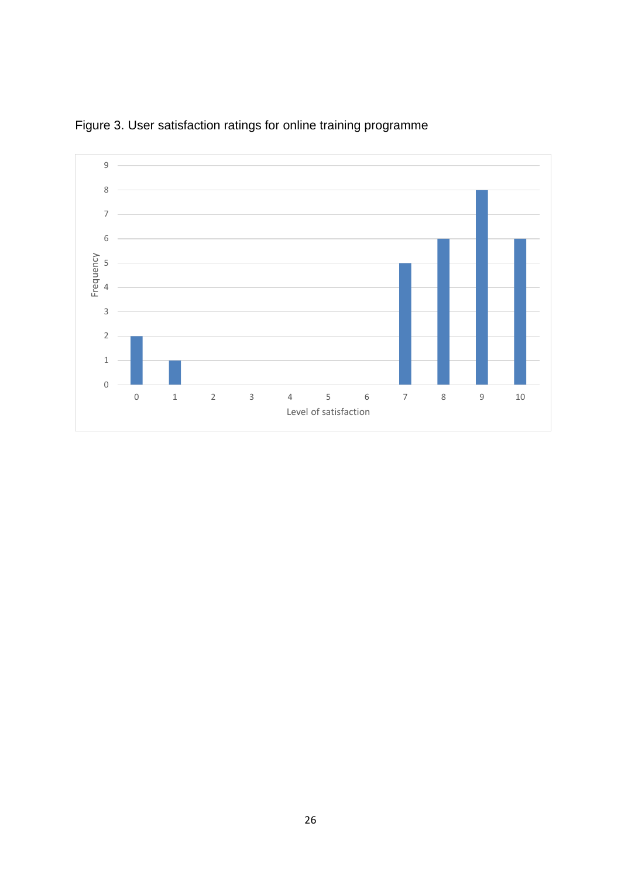

Figure 3. User satisfaction ratings for online training programme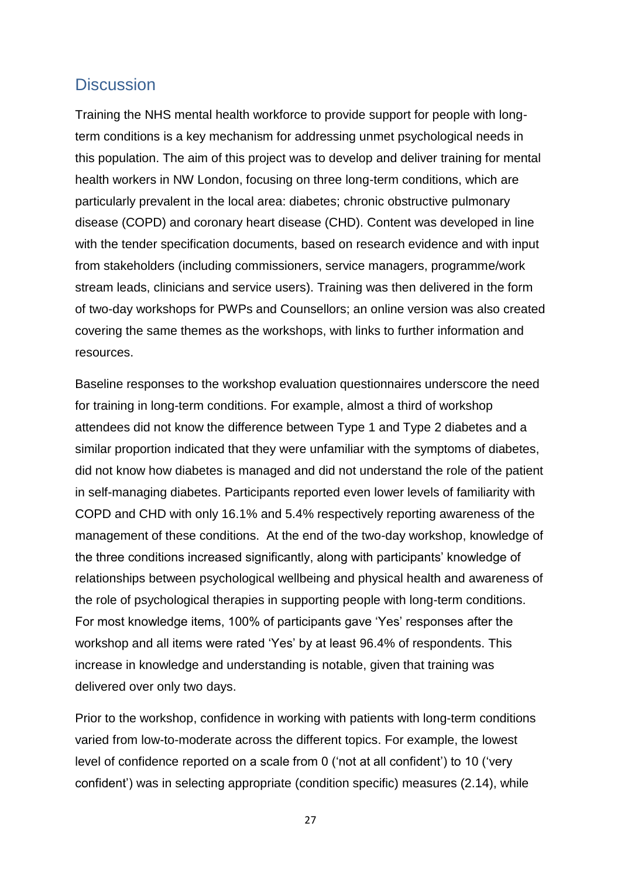## **Discussion**

Training the NHS mental health workforce to provide support for people with longterm conditions is a key mechanism for addressing unmet psychological needs in this population. The aim of this project was to develop and deliver training for mental health workers in NW London, focusing on three long-term conditions, which are particularly prevalent in the local area: diabetes; chronic obstructive pulmonary disease (COPD) and coronary heart disease (CHD). Content was developed in line with the tender specification documents, based on research evidence and with input from stakeholders (including commissioners, service managers, programme/work stream leads, clinicians and service users). Training was then delivered in the form of two-day workshops for PWPs and Counsellors; an online version was also created covering the same themes as the workshops, with links to further information and resources.

Baseline responses to the workshop evaluation questionnaires underscore the need for training in long-term conditions. For example, almost a third of workshop attendees did not know the difference between Type 1 and Type 2 diabetes and a similar proportion indicated that they were unfamiliar with the symptoms of diabetes, did not know how diabetes is managed and did not understand the role of the patient in self-managing diabetes. Participants reported even lower levels of familiarity with COPD and CHD with only 16.1% and 5.4% respectively reporting awareness of the management of these conditions. At the end of the two-day workshop, knowledge of the three conditions increased significantly, along with participants' knowledge of relationships between psychological wellbeing and physical health and awareness of the role of psychological therapies in supporting people with long-term conditions. For most knowledge items, 100% of participants gave 'Yes' responses after the workshop and all items were rated 'Yes' by at least 96.4% of respondents. This increase in knowledge and understanding is notable, given that training was delivered over only two days.

Prior to the workshop, confidence in working with patients with long-term conditions varied from low-to-moderate across the different topics. For example, the lowest level of confidence reported on a scale from 0 ('not at all confident') to 10 ('very confident') was in selecting appropriate (condition specific) measures (2.14), while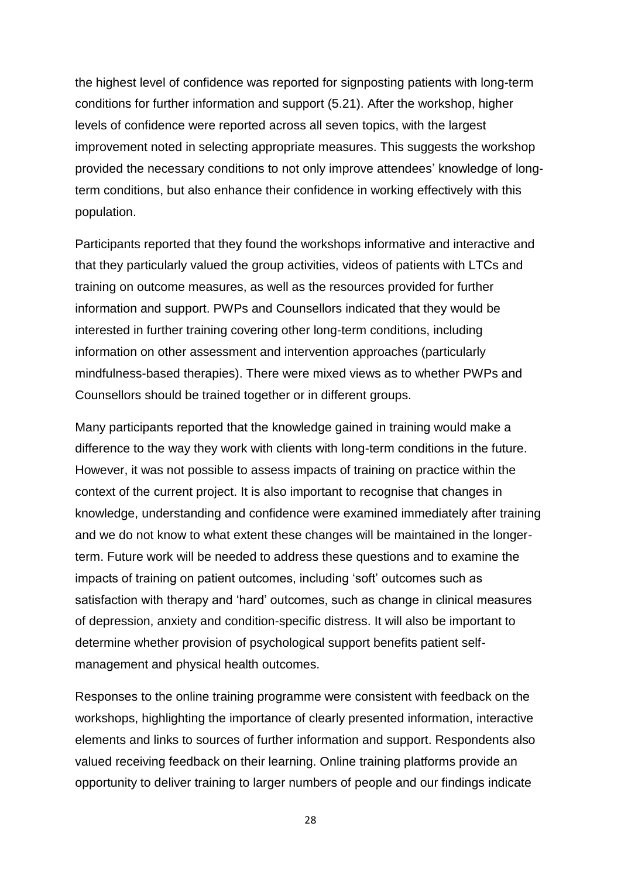the highest level of confidence was reported for signposting patients with long-term conditions for further information and support (5.21). After the workshop, higher levels of confidence were reported across all seven topics, with the largest improvement noted in selecting appropriate measures. This suggests the workshop provided the necessary conditions to not only improve attendees' knowledge of longterm conditions, but also enhance their confidence in working effectively with this population.

Participants reported that they found the workshops informative and interactive and that they particularly valued the group activities, videos of patients with LTCs and training on outcome measures, as well as the resources provided for further information and support. PWPs and Counsellors indicated that they would be interested in further training covering other long-term conditions, including information on other assessment and intervention approaches (particularly mindfulness-based therapies). There were mixed views as to whether PWPs and Counsellors should be trained together or in different groups.

Many participants reported that the knowledge gained in training would make a difference to the way they work with clients with long-term conditions in the future. However, it was not possible to assess impacts of training on practice within the context of the current project. It is also important to recognise that changes in knowledge, understanding and confidence were examined immediately after training and we do not know to what extent these changes will be maintained in the longerterm. Future work will be needed to address these questions and to examine the impacts of training on patient outcomes, including 'soft' outcomes such as satisfaction with therapy and 'hard' outcomes, such as change in clinical measures of depression, anxiety and condition-specific distress. It will also be important to determine whether provision of psychological support benefits patient selfmanagement and physical health outcomes.

Responses to the online training programme were consistent with feedback on the workshops, highlighting the importance of clearly presented information, interactive elements and links to sources of further information and support. Respondents also valued receiving feedback on their learning. Online training platforms provide an opportunity to deliver training to larger numbers of people and our findings indicate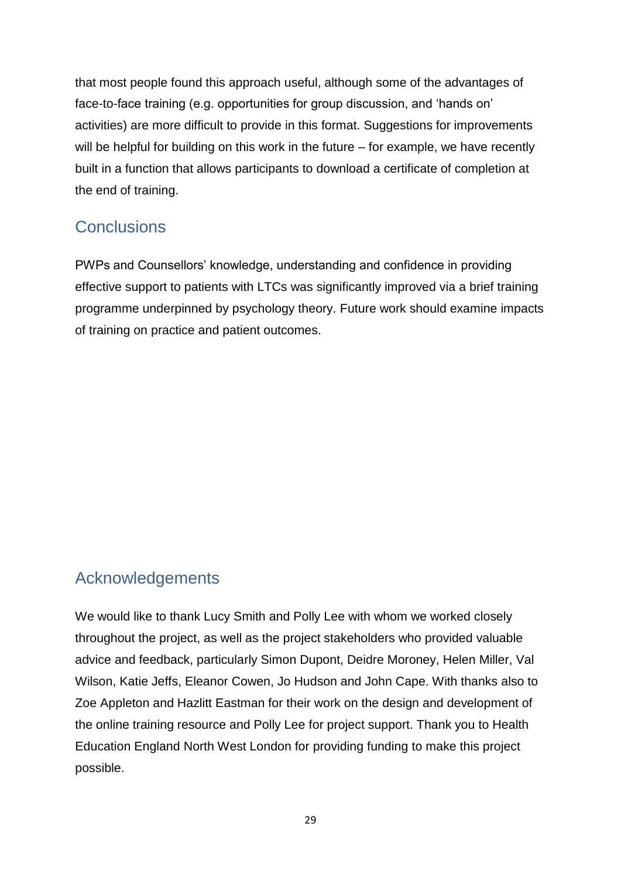that most people found this approach useful, although some of the advantages of face-to-face training (e.g. opportunities for group discussion, and 'hands on' activities) are more difficult to provide in this format. Suggestions for improvements will be helpful for building on this work in the future – for example, we have recently built in a function that allows participants to download a certificate of completion at the end of training.

## **Conclusions**

PWPs and Counsellors' knowledge, understanding and confidence in providing effective support to patients with LTCs was significantly improved via a brief training programme underpinned by psychology theory. Future work should examine impacts of training on practice and patient outcomes.

## Acknowledgements

We would like to thank Lucy Smith and Polly Lee with whom we worked closely throughout the project, as well as the project stakeholders who provided valuable advice and feedback, particularly Simon Dupont, Deidre Moroney, Helen Miller, Val Wilson, Katie Jeffs, Eleanor Cowen, Jo Hudson and John Cape. With thanks also to Zoe Appleton and Hazlitt Eastman for their work on the design and development of the online training resource and Polly Lee for project support. Thank you to Health Education England North West London for providing funding to make this project possible.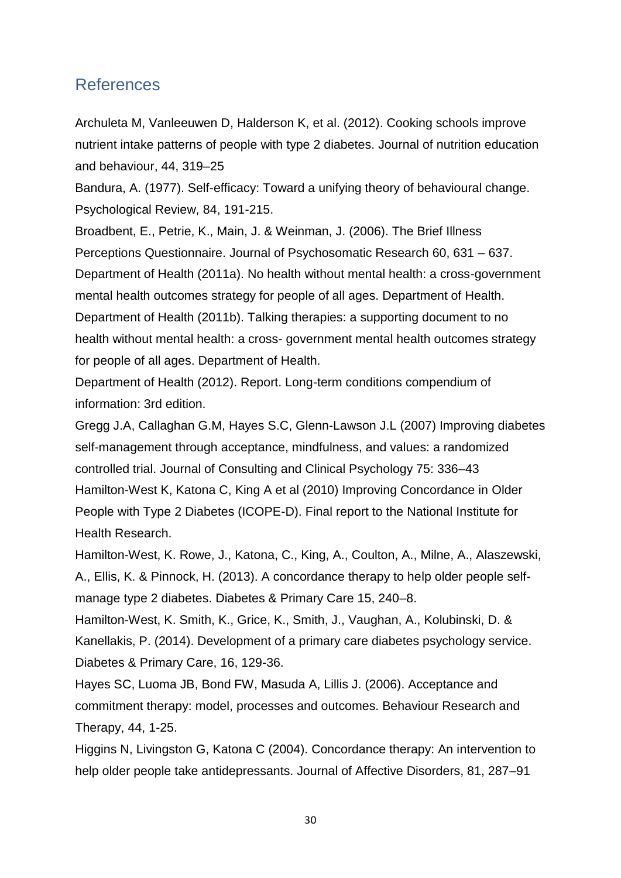## References

Archuleta M, Vanleeuwen D, Halderson K, et al. (2012). Cooking schools improve nutrient intake patterns of people with type 2 diabetes. Journal of nutrition education and behaviour, 44, 319–25

Bandura, A. (1977). Self-efficacy: Toward a unifying theory of behavioural change. Psychological Review, 84, 191-215.

Broadbent, E., Petrie, K., Main, J. & Weinman, J. (2006). The Brief Illness Perceptions Questionnaire. Journal of Psychosomatic Research 60, 631 – 637. Department of Health (2011a). No health without mental health: a cross-government mental health outcomes strategy for people of all ages. Department of Health. Department of Health (2011b). Talking therapies: a supporting document to no health without mental health: a cross- government mental health outcomes strategy for people of all ages. Department of Health.

Department of Health (2012). Report. Long-term conditions compendium of information: 3rd edition.

Gregg J.A, Callaghan G.M, Hayes S.C, Glenn-Lawson J.L (2007) Improving diabetes self-management through acceptance, mindfulness, and values: a randomized controlled trial. Journal of Consulting and Clinical Psychology 75: 336–43 Hamilton-West K, Katona C, King A et al (2010) Improving Concordance in Older People with Type 2 Diabetes (ICOPE-D). Final report to the National Institute for Health Research.

Hamilton-West, K. Rowe, J., Katona, C., King, A., Coulton, A., Milne, A., Alaszewski, A., Ellis, K. & Pinnock, H. (2013). A concordance therapy to help older people selfmanage type 2 diabetes. Diabetes & Primary Care 15, 240–8.

Hamilton-West, K. Smith, K., Grice, K., Smith, J., Vaughan, A., Kolubinski, D. & Kanellakis, P. (2014). Development of a primary care diabetes psychology service. Diabetes & Primary Care, 16, 129-36.

Hayes SC, Luoma JB, Bond FW, Masuda A, Lillis J. (2006). Acceptance and commitment therapy: model, processes and outcomes. Behaviour Research and Therapy, 44, 1-25.

Higgins N, Livingston G, Katona C (2004). Concordance therapy: An intervention to help older people take antidepressants. Journal of Affective Disorders, 81, 287–91